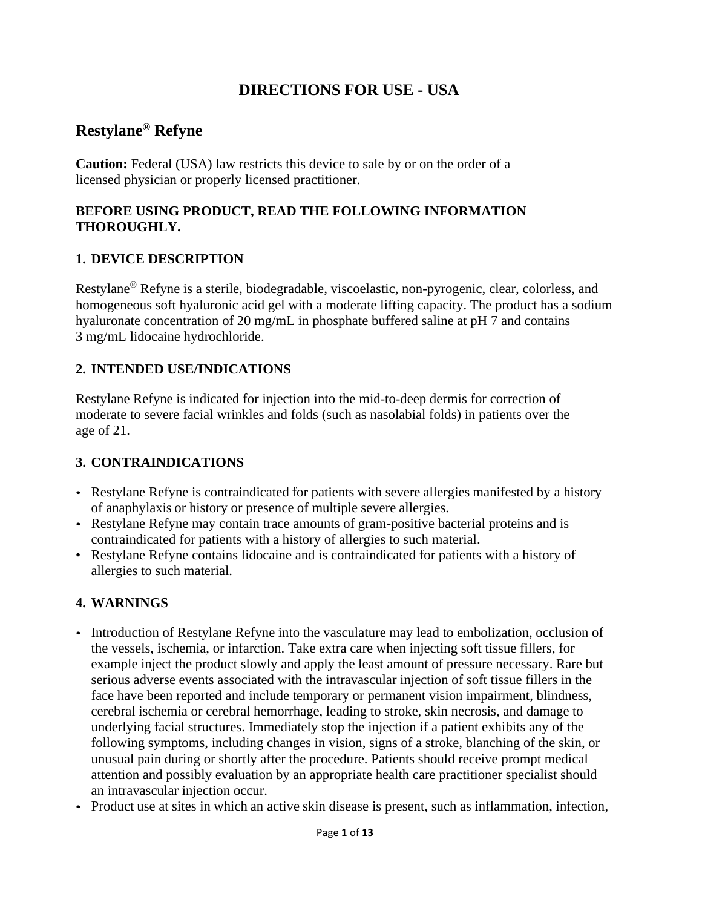# **DIRECTIONS FOR USE - USA**

# **Restylane® Refyne**

**Caution:** Federal (USA) law restricts this device to sale by or on the order of a licensed physician or properly licensed practitioner.

## **BEFORE USING PRODUCT, READ THE FOLLOWING INFORMATION THOROUGHLY.**

# **1. DEVICE DESCRIPTION**

Restylane® Refyne is a sterile, biodegradable, viscoelastic, non-pyrogenic, clear, colorless, and homogeneous soft hyaluronic acid gel with a moderate lifting capacity. The product has a sodium hyaluronate concentration of 20 mg/mL in phosphate buffered saline at pH 7 and contains 3 mg/mL lidocaine hydrochloride.

# **2. INTENDED USE/INDICATIONS**

Restylane Refyne is indicated for injection into the mid-to-deep dermis for correction of moderate to severe facial wrinkles and folds (such as nasolabial folds) in patients over the age of 21.

#### **3. CONTRAINDICATIONS**

- Restylane Refyne is contraindicated for patients with severe allergies manifested by a history of anaphylaxis or history or presence of multiple severe allergies.
- Restylane Refyne may contain trace amounts of gram-positive bacterial proteins and is contraindicated for patients with a history of allergies to such material.
- Restylane Refyne contains lidocaine and is contraindicated for patients with a history of allergies to such material.

# **4. WARNINGS**

- Introduction of Restylane Refyne into the vasculature may lead to embolization, occlusion of the vessels, ischemia, or infarction. Take extra care when injecting soft tissue fillers, for example inject the product slowly and apply the least amount of pressure necessary. Rare but serious adverse events associated with the intravascular injection of soft tissue fillers in the face have been reported and include temporary or permanent vision impairment, blindness, cerebral ischemia or cerebral hemorrhage, leading to stroke, skin necrosis, and damage to underlying facial structures. Immediately stop the injection if a patient exhibits any of the following symptoms, including changes in vision, signs of a stroke, blanching of the skin, or unusual pain during or shortly after the procedure. Patients should receive prompt medical attention and possibly evaluation by an appropriate health care practitioner specialist should an intravascular injection occur.
- Product use at sites in which an active skin disease is present, such as inflammation, infection,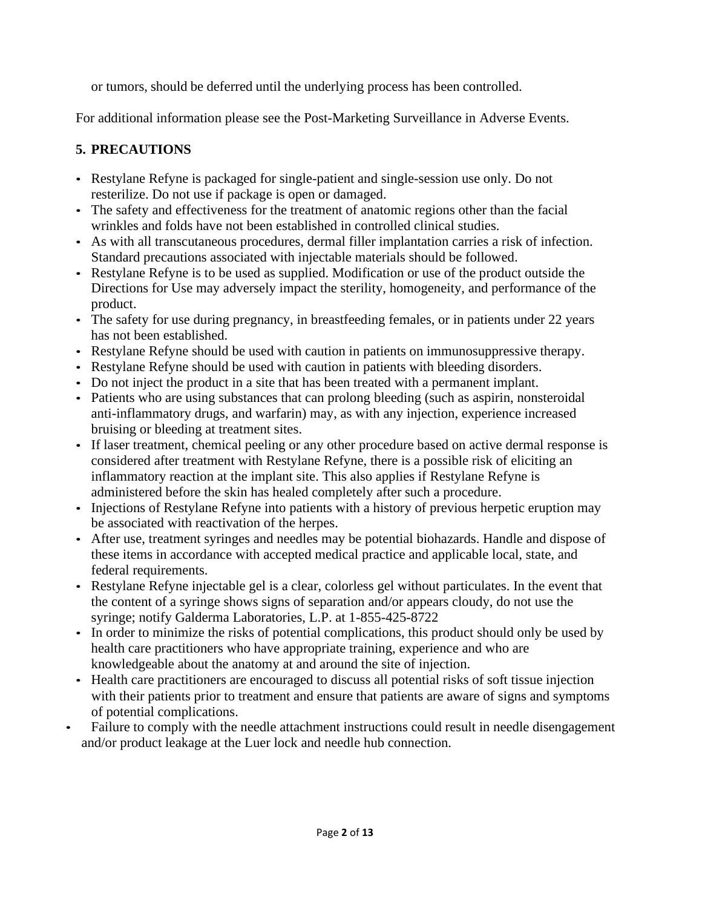or tumors, should be deferred until the underlying process has been controlled.

For additional information please see the Post-Marketing Surveillance in Adverse Events.

# **5. PRECAUTIONS**

- Restylane Refyne is packaged for single-patient and single-session use only. Do not resterilize. Do not use if package is open or damaged.
- The safety and effectiveness for the treatment of anatomic regions other than the facial wrinkles and folds have not been established in controlled clinical studies.
- As with all transcutaneous procedures, dermal filler implantation carries a risk of infection. Standard precautions associated with injectable materials should be followed.
- Restylane Refyne is to be used as supplied. Modification or use of the product outside the Directions for Use may adversely impact the sterility, homogeneity, and performance of the product.
- The safety for use during pregnancy, in breastfeeding females, or in patients under 22 years has not been established.
- Restylane Refyne should be used with caution in patients on immunosuppressive therapy.
- Restylane Refyne should be used with caution in patients with bleeding disorders.
- Do not inject the product in a site that has been treated with a permanent implant.
- Patients who are using substances that can prolong bleeding (such as aspirin, nonsteroidal anti-inflammatory drugs, and warfarin) may, as with any injection, experience increased bruising or bleeding at treatment sites.
- If laser treatment, chemical peeling or any other procedure based on active dermal response is considered after treatment with Restylane Refyne, there is a possible risk of eliciting an inflammatory reaction at the implant site. This also applies if Restylane Refyne is administered before the skin has healed completely after such a procedure.
- Injections of Restylane Refyne into patients with a history of previous herpetic eruption may be associated with reactivation of the herpes.
- After use, treatment syringes and needles may be potential biohazards. Handle and dispose of these items in accordance with accepted medical practice and applicable local, state, and federal requirements.
- Restylane Refyne injectable gel is a clear, colorless gel without particulates. In the event that the content of a syringe shows signs of separation and/or appears cloudy, do not use the syringe; notify Galderma Laboratories, L.P. at 1-855-425-8722
- In order to minimize the risks of potential complications, this product should only be used by health care practitioners who have appropriate training, experience and who are knowledgeable about the anatomy at and around the site of injection.
- Health care practitioners are encouraged to discuss all potential risks of soft tissue injection with their patients prior to treatment and ensure that patients are aware of signs and symptoms of potential complications.
- Failure to comply with the needle attachment instructions could result in needle disengagement and/or product leakage at the Luer lock and needle hub connection.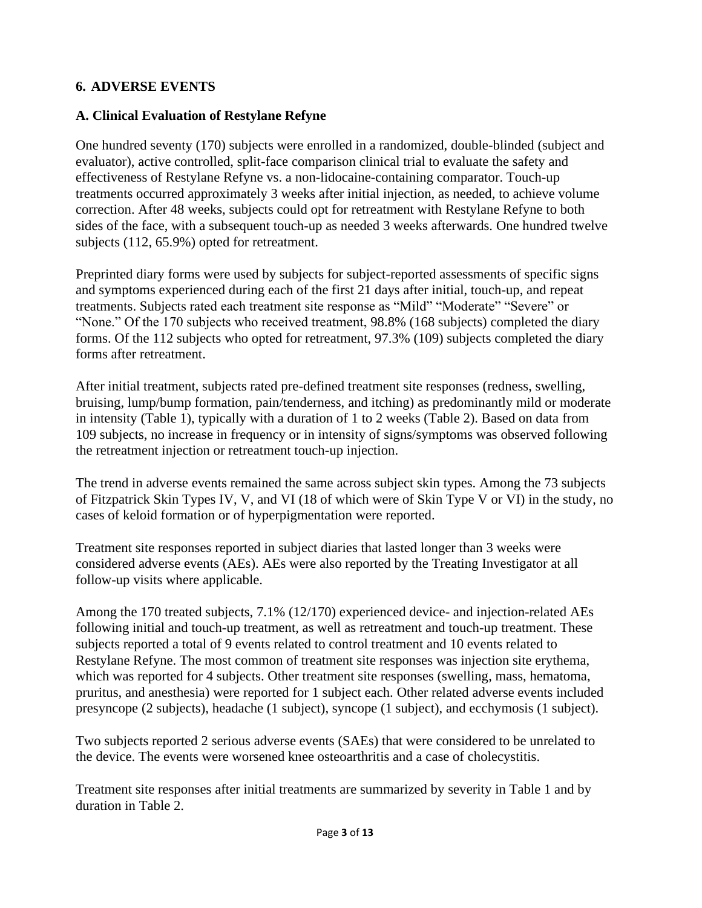## **6. ADVERSE EVENTS**

## **A. Clinical Evaluation of Restylane Refyne**

One hundred seventy (170) subjects were enrolled in a randomized, double-blinded (subject and evaluator), active controlled, split-face comparison clinical trial to evaluate the safety and effectiveness of Restylane Refyne vs. a non-lidocaine-containing comparator. Touch-up treatments occurred approximately 3 weeks after initial injection, as needed, to achieve volume correction. After 48 weeks, subjects could opt for retreatment with Restylane Refyne to both sides of the face, with a subsequent touch-up as needed 3 weeks afterwards. One hundred twelve subjects (112, 65.9%) opted for retreatment.

Preprinted diary forms were used by subjects for subject-reported assessments of specific signs and symptoms experienced during each of the first 21 days after initial, touch-up, and repeat treatments. Subjects rated each treatment site response as "Mild" "Moderate" "Severe" or "None." Of the 170 subjects who received treatment, 98.8% (168 subjects) completed the diary forms. Of the 112 subjects who opted for retreatment, 97.3% (109) subjects completed the diary forms after retreatment.

After initial treatment, subjects rated pre-defined treatment site responses (redness, swelling, bruising, lump/bump formation, pain/tenderness, and itching) as predominantly mild or moderate in intensity (Table 1), typically with a duration of 1 to 2 weeks (Table 2). Based on data from 109 subjects, no increase in frequency or in intensity of signs/symptoms was observed following the retreatment injection or retreatment touch-up injection.

The trend in adverse events remained the same across subject skin types. Among the 73 subjects of Fitzpatrick Skin Types IV, V, and VI (18 of which were of Skin Type V or VI) in the study, no cases of keloid formation or of hyperpigmentation were reported.

Treatment site responses reported in subject diaries that lasted longer than 3 weeks were considered adverse events (AEs). AEs were also reported by the Treating Investigator at all follow-up visits where applicable.

Among the 170 treated subjects, 7.1% (12/170) experienced device- and injection-related AEs following initial and touch-up treatment, as well as retreatment and touch-up treatment. These subjects reported a total of 9 events related to control treatment and 10 events related to Restylane Refyne. The most common of treatment site responses was injection site erythema, which was reported for 4 subjects. Other treatment site responses (swelling, mass, hematoma, pruritus, and anesthesia) were reported for 1 subject each. Other related adverse events included presyncope (2 subjects), headache (1 subject), syncope (1 subject), and ecchymosis (1 subject).

Two subjects reported 2 serious adverse events (SAEs) that were considered to be unrelated to the device. The events were worsened knee osteoarthritis and a case of cholecystitis.

Treatment site responses after initial treatments are summarized by severity in Table 1 and by duration in Table 2.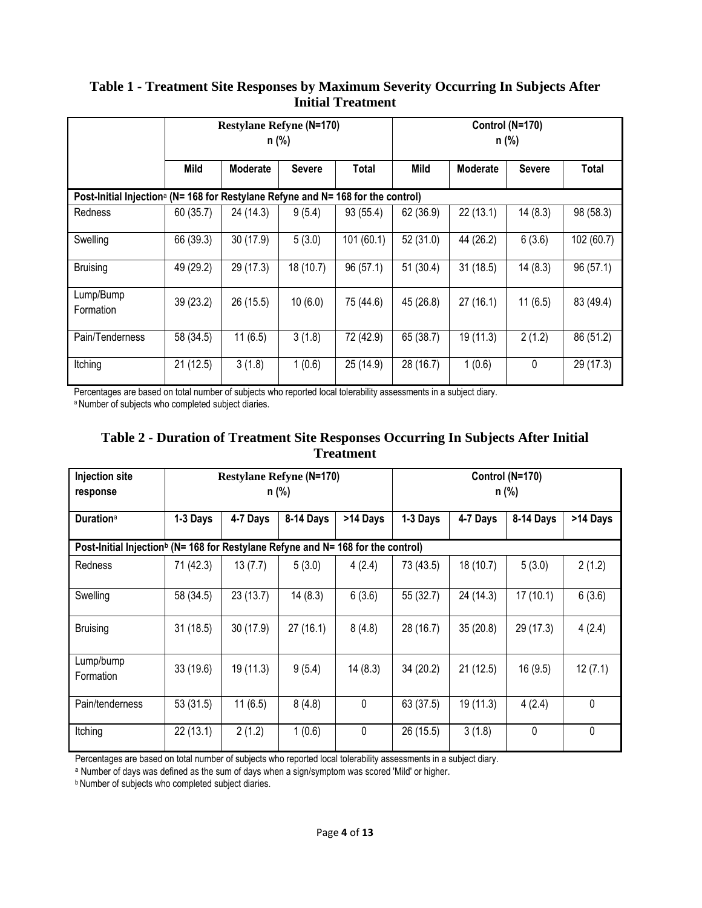#### **Table 1 - Treatment Site Responses by Maximum Severity Occurring In Subjects After Initial Treatment**

|                                                                                              | <b>Restylane Refyne (N=170)</b><br>n (%) |                 |               | Control (N=170)<br>n (%) |             |                 |               |            |
|----------------------------------------------------------------------------------------------|------------------------------------------|-----------------|---------------|--------------------------|-------------|-----------------|---------------|------------|
|                                                                                              | Mild                                     | <b>Moderate</b> | <b>Severe</b> | Total                    | <b>Mild</b> | <b>Moderate</b> | <b>Severe</b> | Total      |
| Post-Initial Injection <sup>a</sup> (N= 168 for Restylane Refyne and N= 168 for the control) |                                          |                 |               |                          |             |                 |               |            |
| <b>Redness</b>                                                                               | 60(35.7)                                 | 24 (14.3)       | 9(5.4)        | 93 (55.4)                | 62 (36.9)   | 22(13.1)        | 14(8.3)       | 98 (58.3)  |
| Swelling                                                                                     | 66 (39.3)                                | 30(17.9)        | 5(3.0)        | 101(60.1)                | 52 (31.0)   | 44 (26.2)       | 6(3.6)        | 102 (60.7) |
| <b>Bruising</b>                                                                              | 49 (29.2)                                | 29 (17.3)       | 18 (10.7)     | 96(57.1)                 | 51(30.4)    | 31(18.5)        | 14(8.3)       | 96(57.1)   |
| Lump/Bump<br>Formation                                                                       | 39 (23.2)                                | 26 (15.5)       | 10(6.0)       | 75 (44.6)                | 45 (26.8)   | 27(16.1)        | 11(6.5)       | 83 (49.4)  |
| Pain/Tenderness                                                                              | 58 (34.5)                                | 11(6.5)         | 3(1.8)        | 72 (42.9)                | 65 (38.7)   | 19 (11.3)       | 2(1.2)        | 86 (51.2)  |
| Itching                                                                                      | 21(12.5)                                 | 3(1.8)          | 1(0.6)        | 25 (14.9)                | 28 (16.7)   | 1(0.6)          | $\mathbf{0}$  | 29 (17.3)  |

Percentages are based on total number of subjects who reported local tolerability assessments in a subject diary.

a Number of subjects who completed subject diaries.

## **Table 2** - **Duration of Treatment Site Responses Occurring In Subjects After Initial Treatment**

| <b>Injection site</b><br>response                                                            | <b>Restylane Refyne (N=170)</b><br>n (%) |           |           | Control (N=170)<br>n (%) |           |           |           |              |
|----------------------------------------------------------------------------------------------|------------------------------------------|-----------|-----------|--------------------------|-----------|-----------|-----------|--------------|
| Duration <sup>a</sup>                                                                        | 1-3 Days                                 | 4-7 Days  | 8-14 Days | >14 Days                 | 1-3 Days  | 4-7 Days  | 8-14 Days | >14 Days     |
| Post-Initial Injection <sup>b</sup> (N= 168 for Restylane Refyne and N= 168 for the control) |                                          |           |           |                          |           |           |           |              |
| <b>Redness</b>                                                                               | 71 (42.3)                                | 13(7.7)   | 5(3.0)    | 4(2.4)                   | 73 (43.5) | 18 (10.7) | 5(3.0)    | 2(1.2)       |
| Swelling                                                                                     | 58 (34.5)                                | 23(13.7)  | 14(8.3)   | 6(3.6)                   | 55 (32.7) | 24 (14.3) | 17(10.1)  | 6(3.6)       |
| <b>Bruising</b>                                                                              | 31(18.5)                                 | 30(17.9)  | 27(16.1)  | 8(4.8)                   | 28 (16.7) | 35(20.8)  | 29 (17.3) | 4(2.4)       |
| Lump/bump<br>Formation                                                                       | 33(19.6)                                 | 19 (11.3) | 9(5.4)    | 14(8.3)                  | 34(20.2)  | 21(12.5)  | 16(9.5)   | 12(7.1)      |
| Pain/tenderness                                                                              | 53(31.5)                                 | 11(6.5)   | 8(4.8)    | 0                        | 63 (37.5) | 19 (11.3) | 4(2.4)    | $\mathbf{0}$ |
| Itching                                                                                      | 22(13.1)                                 | 2(1.2)    | 1(0.6)    | $\pmb{0}$                | 26 (15.5) | 3(1.8)    | 0         | 0            |

Percentages are based on total number of subjects who reported local tolerability assessments in a subject diary.

a Number of days was defined as the sum of days when a sign/symptom was scored 'Mild' or higher.

**b Number of subjects who completed subject diaries.**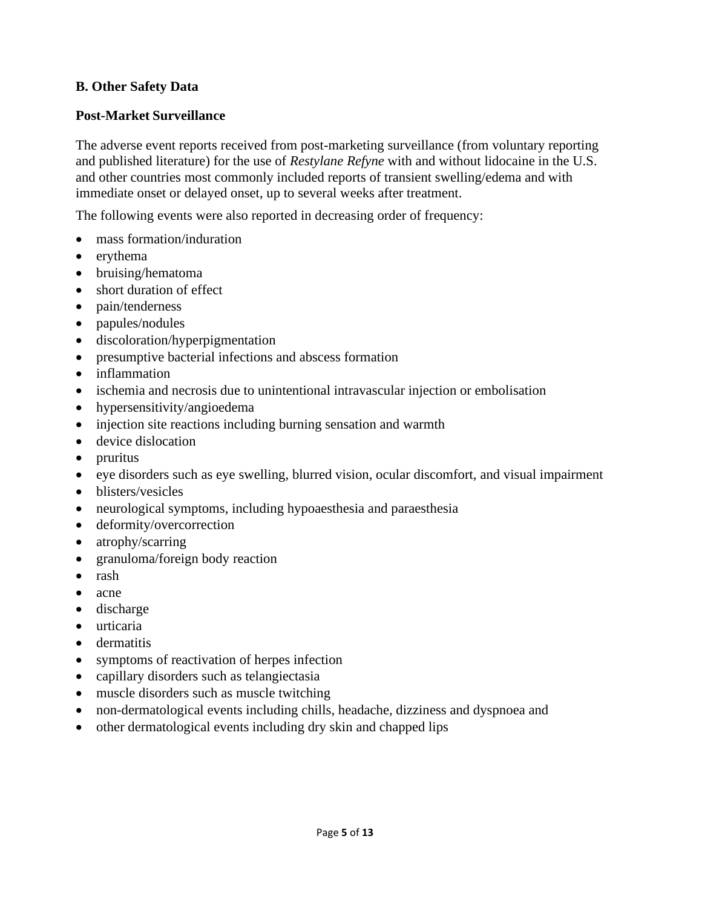## **B. Other Safety Data**

#### **Post-Market Surveillance**

The adverse event reports received from post-marketing surveillance (from voluntary reporting and published literature) for the use of *Restylane Refyne* with and without lidocaine in the U.S. and other countries most commonly included reports of transient swelling/edema and with immediate onset or delayed onset, up to several weeks after treatment.

The following events were also reported in decreasing order of frequency:

- mass formation/induration
- erythema
- bruising/hematoma
- short duration of effect
- pain/tenderness
- papules/nodules
- discoloration/hyperpigmentation
- presumptive bacterial infections and abscess formation
- inflammation
- ischemia and necrosis due to unintentional intravascular injection or embolisation
- hypersensitivity/angioedema
- injection site reactions including burning sensation and warmth
- device dislocation
- pruritus
- eye disorders such as eye swelling, blurred vision, ocular discomfort, and visual impairment
- blisters/vesicles
- neurological symptoms, including hypoaesthesia and paraesthesia
- deformity/overcorrection
- atrophy/scarring
- granuloma/foreign body reaction
- rash
- acne
- discharge
- urticaria
- dermatitis
- symptoms of reactivation of herpes infection
- capillary disorders such as telangiectasia
- muscle disorders such as muscle twitching
- non-dermatological events including chills, headache, dizziness and dyspnoea and
- other dermatological events including dry skin and chapped lips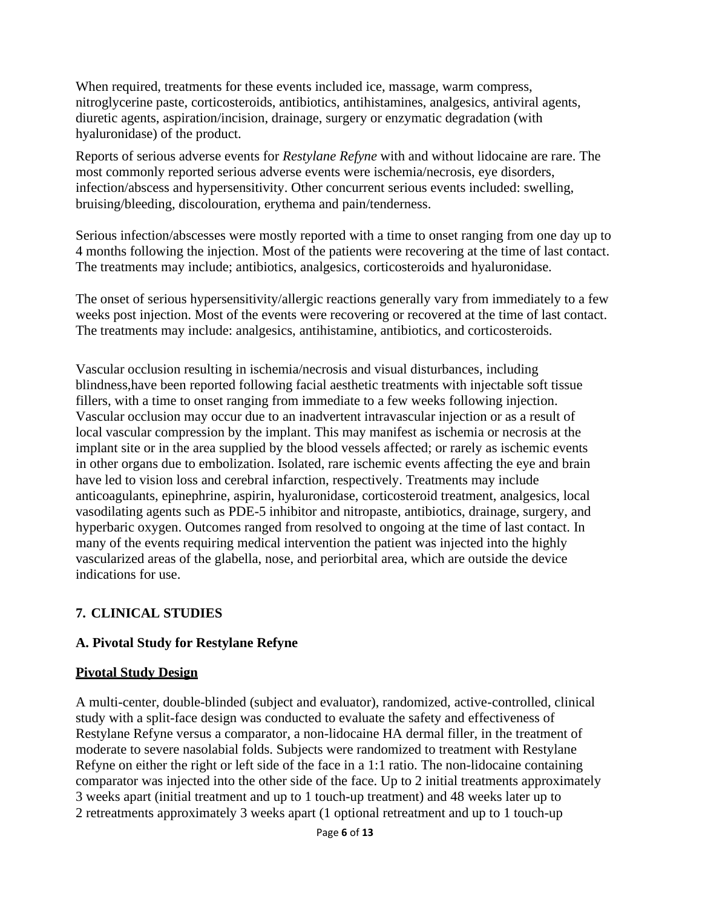When required, treatments for these events included ice, massage, warm compress, nitroglycerine paste, corticosteroids, antibiotics, antihistamines, analgesics, antiviral agents, diuretic agents, aspiration/incision, drainage, surgery or enzymatic degradation (with hyaluronidase) of the product.

Reports of serious adverse events for *Restylane Refyne* with and without lidocaine are rare. The most commonly reported serious adverse events were ischemia/necrosis, eye disorders, infection/abscess and hypersensitivity. Other concurrent serious events included: swelling, bruising/bleeding, discolouration, erythema and pain/tenderness.

Serious infection/abscesses were mostly reported with a time to onset ranging from one day up to 4 months following the injection. Most of the patients were recovering at the time of last contact. The treatments may include; antibiotics, analgesics, corticosteroids and hyaluronidase.

The onset of serious hypersensitivity/allergic reactions generally vary from immediately to a few weeks post injection. Most of the events were recovering or recovered at the time of last contact. The treatments may include: analgesics, antihistamine, antibiotics, and corticosteroids.

Vascular occlusion resulting in ischemia/necrosis and visual disturbances, including blindness,have been reported following facial aesthetic treatments with injectable soft tissue fillers, with a time to onset ranging from immediate to a few weeks following injection. Vascular occlusion may occur due to an inadvertent intravascular injection or as a result of local vascular compression by the implant. This may manifest as ischemia or necrosis at the implant site or in the area supplied by the blood vessels affected; or rarely as ischemic events in other organs due to embolization. Isolated, rare ischemic events affecting the eye and brain have led to vision loss and cerebral infarction, respectively. Treatments may include anticoagulants, epinephrine, aspirin, hyaluronidase, corticosteroid treatment, analgesics, local vasodilating agents such as PDE-5 inhibitor and nitropaste, antibiotics, drainage, surgery, and hyperbaric oxygen. Outcomes ranged from resolved to ongoing at the time of last contact. In many of the events requiring medical intervention the patient was injected into the highly vascularized areas of the glabella, nose, and periorbital area, which are outside the device indications for use.

# **7. CLINICAL STUDIES**

#### **A. Pivotal Study for Restylane Refyne**

#### **Pivotal Study Design**

A multi-center, double-blinded (subject and evaluator), randomized, active-controlled, clinical study with a split-face design was conducted to evaluate the safety and effectiveness of Restylane Refyne versus a comparator, a non-lidocaine HA dermal filler, in the treatment of moderate to severe nasolabial folds. Subjects were randomized to treatment with Restylane Refyne on either the right or left side of the face in a 1:1 ratio. The non-lidocaine containing comparator was injected into the other side of the face. Up to 2 initial treatments approximately 3 weeks apart (initial treatment and up to 1 touch-up treatment) and 48 weeks later up to 2 retreatments approximately 3 weeks apart (1 optional retreatment and up to 1 touch-up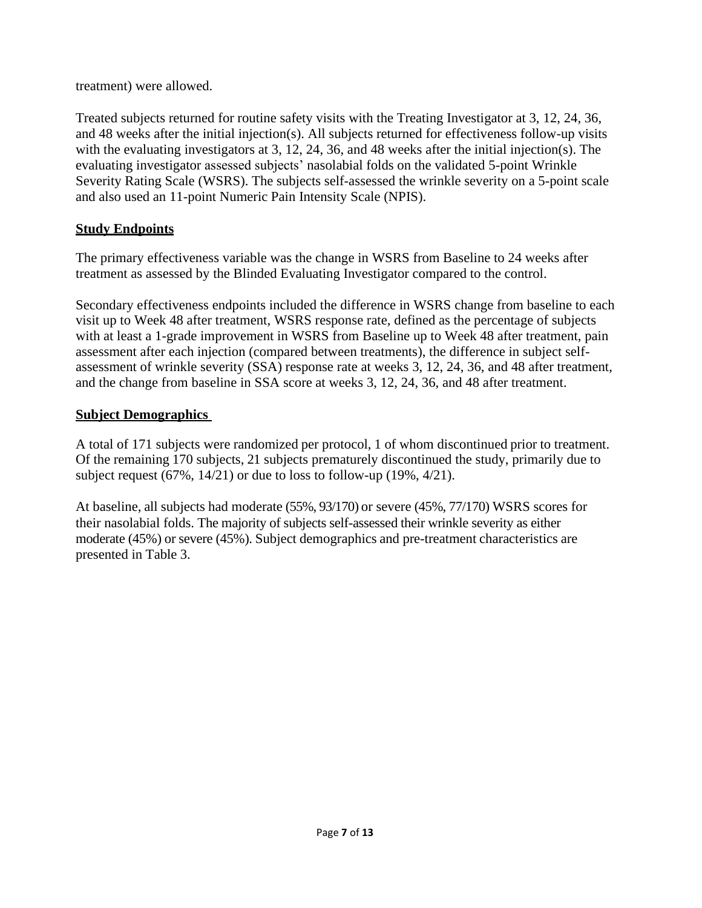treatment) were allowed.

Treated subjects returned for routine safety visits with the Treating Investigator at 3, 12, 24, 36, and 48 weeks after the initial injection(s). All subjects returned for effectiveness follow-up visits with the evaluating investigators at 3, 12, 24, 36, and 48 weeks after the initial injection(s). The evaluating investigator assessed subjects' nasolabial folds on the validated 5-point Wrinkle Severity Rating Scale (WSRS). The subjects self-assessed the wrinkle severity on a 5-point scale and also used an 11-point Numeric Pain Intensity Scale (NPIS).

## **Study Endpoints**

The primary effectiveness variable was the change in WSRS from Baseline to 24 weeks after treatment as assessed by the Blinded Evaluating Investigator compared to the control.

Secondary effectiveness endpoints included the difference in WSRS change from baseline to each visit up to Week 48 after treatment, WSRS response rate, defined as the percentage of subjects with at least a 1-grade improvement in WSRS from Baseline up to Week 48 after treatment, pain assessment after each injection (compared between treatments), the difference in subject selfassessment of wrinkle severity (SSA) response rate at weeks 3, 12, 24, 36, and 48 after treatment, and the change from baseline in SSA score at weeks 3, 12, 24, 36, and 48 after treatment.

## **Subject Demographics**

A total of 171 subjects were randomized per protocol, 1 of whom discontinued prior to treatment. Of the remaining 170 subjects, 21 subjects prematurely discontinued the study, primarily due to subject request (67%, 14/21) or due to loss to follow-up (19%, 4/21).

At baseline, all subjects had moderate (55%, 93/170) or severe (45%, 77/170) WSRS scores for their nasolabial folds. The majority of subjects self-assessed their wrinkle severity as either moderate (45%) or severe (45%). Subject demographics and pre-treatment characteristics are presented in Table 3.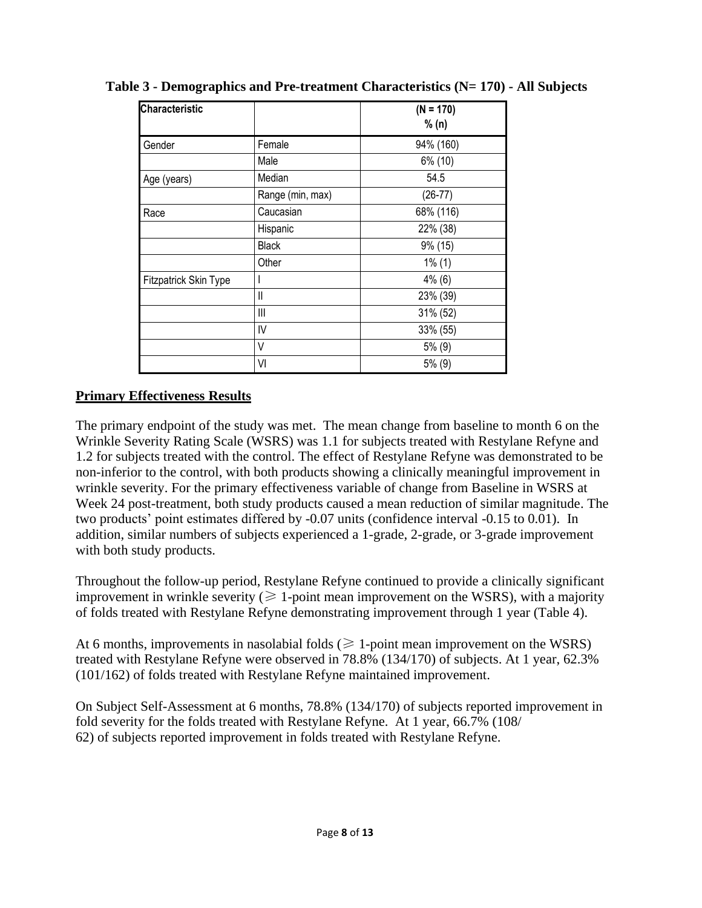| <b>Characteristic</b>        |                  | $(N = 170)$ |  |  |
|------------------------------|------------------|-------------|--|--|
|                              |                  | % (n)       |  |  |
| Gender                       | Female           | 94% (160)   |  |  |
|                              | Male             | 6% (10)     |  |  |
| Age (years)                  | Median           | 54.5        |  |  |
|                              | Range (min, max) | $(26-77)$   |  |  |
| Race                         | Caucasian        | 68% (116)   |  |  |
|                              | Hispanic         | 22% (38)    |  |  |
|                              | <b>Black</b>     | 9% (15)     |  |  |
|                              | Other            | $1\%$ (1)   |  |  |
| <b>Fitzpatrick Skin Type</b> |                  | $4\%$ (6)   |  |  |
|                              | $\mathbf{I}$     | 23% (39)    |  |  |
|                              | $\mathbf{III}$   | 31% (52)    |  |  |
|                              | IV               | 33% (55)    |  |  |
|                              | V                | 5% (9)      |  |  |
|                              | VI               | 5% (9)      |  |  |

**Table 3 - Demographics and Pre-treatment Characteristics (N= 170) - All Subjects**

## **Primary Effectiveness Results**

The primary endpoint of the study was met. The mean change from baseline to month 6 on the Wrinkle Severity Rating Scale (WSRS) was 1.1 for subjects treated with Restylane Refyne and 1.2 for subjects treated with the control. The effect of Restylane Refyne was demonstrated to be non-inferior to the control, with both products showing a clinically meaningful improvement in wrinkle severity. For the primary effectiveness variable of change from Baseline in WSRS at Week 24 post-treatment, both study products caused a mean reduction of similar magnitude. The two products' point estimates differed by -0.07 units (confidence interval -0.15 to 0.01). In addition, similar numbers of subjects experienced a 1-grade, 2-grade, or 3-grade improvement with both study products.

Throughout the follow-up period, Restylane Refyne continued to provide a clinically significant improvement in wrinkle severity ( $\geq 1$ -point mean improvement on the WSRS), with a majority of folds treated with Restylane Refyne demonstrating improvement through 1 year (Table 4).

At 6 months, improvements in nasolabial folds ( $\geq 1$ -point mean improvement on the WSRS) treated with Restylane Refyne were observed in 78.8% (134/170) of subjects. At 1 year, 62.3% (101/162) of folds treated with Restylane Refyne maintained improvement.

On Subject Self-Assessment at 6 months, 78.8% (134/170) of subjects reported improvement in fold severity for the folds treated with Restylane Refyne. At 1 year, 66.7% (108/ 62) of subjects reported improvement in folds treated with Restylane Refyne.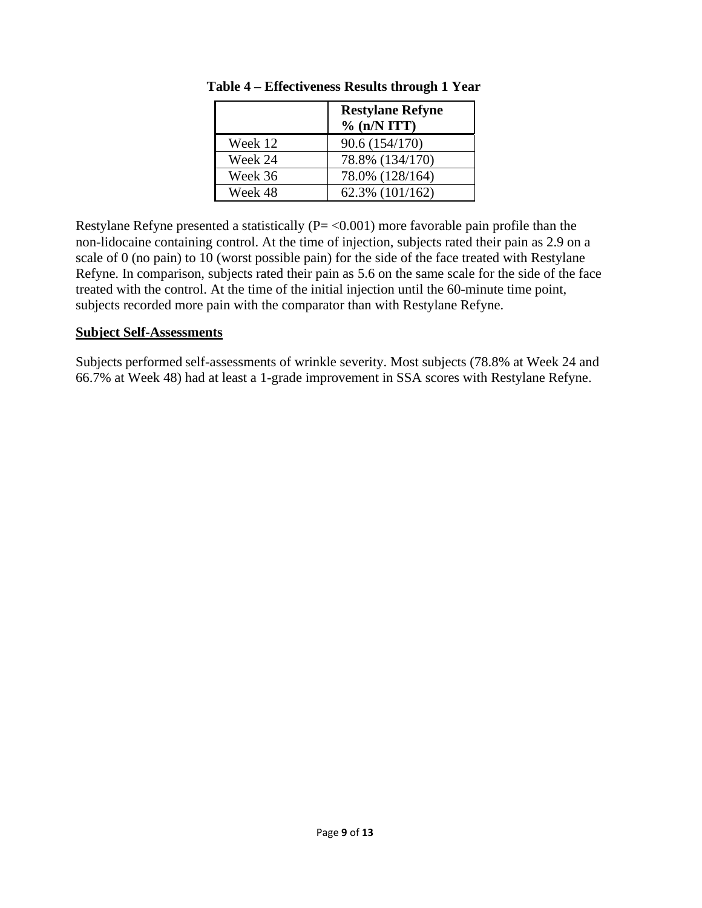|         | <b>Restylane Refyne</b><br>$\%$ (n/N ITT) |
|---------|-------------------------------------------|
| Week 12 | 90.6 (154/170)                            |
| Week 24 | 78.8% (134/170)                           |
| Week 36 | 78.0% (128/164)                           |
| Week 48 | 62.3% (101/162)                           |

**Table 4 – Effectiveness Results through 1 Year**

Restylane Refyne presented a statistically  $(P = < 0.001)$  more favorable pain profile than the non-lidocaine containing control. At the time of injection, subjects rated their pain as 2.9 on a scale of 0 (no pain) to 10 (worst possible pain) for the side of the face treated with Restylane Refyne. In comparison, subjects rated their pain as 5.6 on the same scale for the side of the face treated with the control. At the time of the initial injection until the 60-minute time point, subjects recorded more pain with the comparator than with Restylane Refyne.

#### **Subject Self-Assessments**

Subjects performed self-assessments of wrinkle severity. Most subjects (78.8% at Week 24 and 66.7% at Week 48) had at least a 1-grade improvement in SSA scores with Restylane Refyne.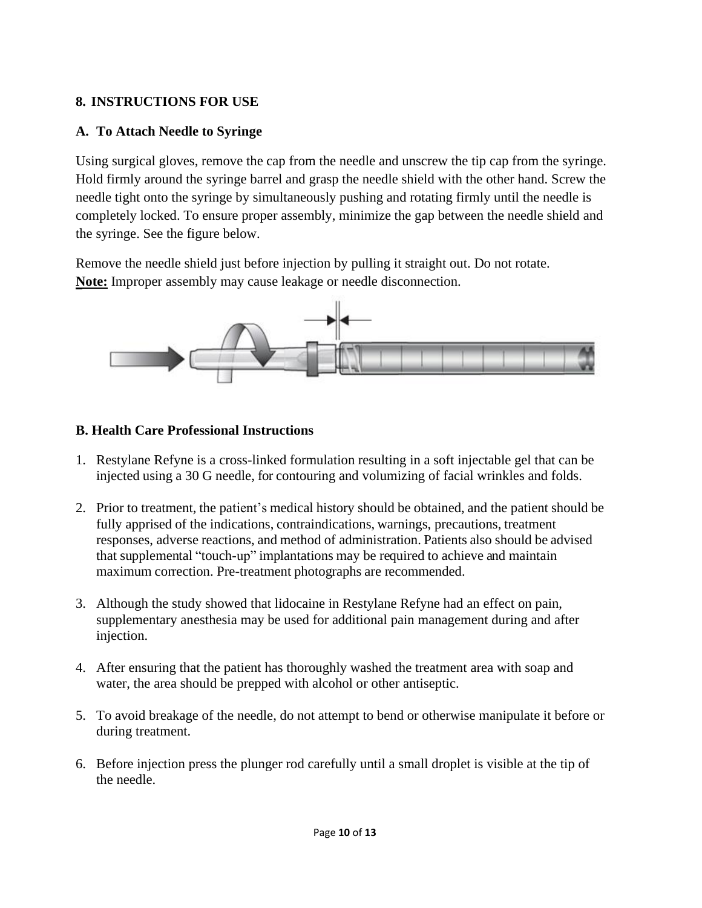# **8. INSTRUCTIONS FOR USE**

# **A. To Attach Needle to Syringe**

Using surgical gloves, remove the cap from the needle and unscrew the tip cap from the syringe. Hold firmly around the syringe barrel and grasp the needle shield with the other hand. Screw the needle tight onto the syringe by simultaneously pushing and rotating firmly until the needle is completely locked. To ensure proper assembly, minimize the gap between the needle shield and the syringe. See the figure below.

Remove the needle shield just before injection by pulling it straight out. Do not rotate. **Note:** Improper assembly may cause leakage or needle disconnection.



# **B. Health Care Professional Instructions**

- 1. Restylane Refyne is a cross-linked formulation resulting in a soft injectable gel that can be injected using a 30 G needle, for contouring and volumizing of facial wrinkles and folds.
- 2. Prior to treatment, the patient's medical history should be obtained, and the patient should be fully apprised of the indications, contraindications, warnings, precautions, treatment responses, adverse reactions, and method of administration. Patients also should be advised that supplemental "touch-up" implantations may be required to achieve and maintain maximum correction. Pre-treatment photographs are recommended.
- 3. Although the study showed that lidocaine in Restylane Refyne had an effect on pain, supplementary anesthesia may be used for additional pain management during and after injection.
- 4. After ensuring that the patient has thoroughly washed the treatment area with soap and water, the area should be prepped with alcohol or other antiseptic.
- 5. To avoid breakage of the needle, do not attempt to bend or otherwise manipulate it before or during treatment.
- 6. Before injection press the plunger rod carefully until a small droplet is visible at the tip of the needle.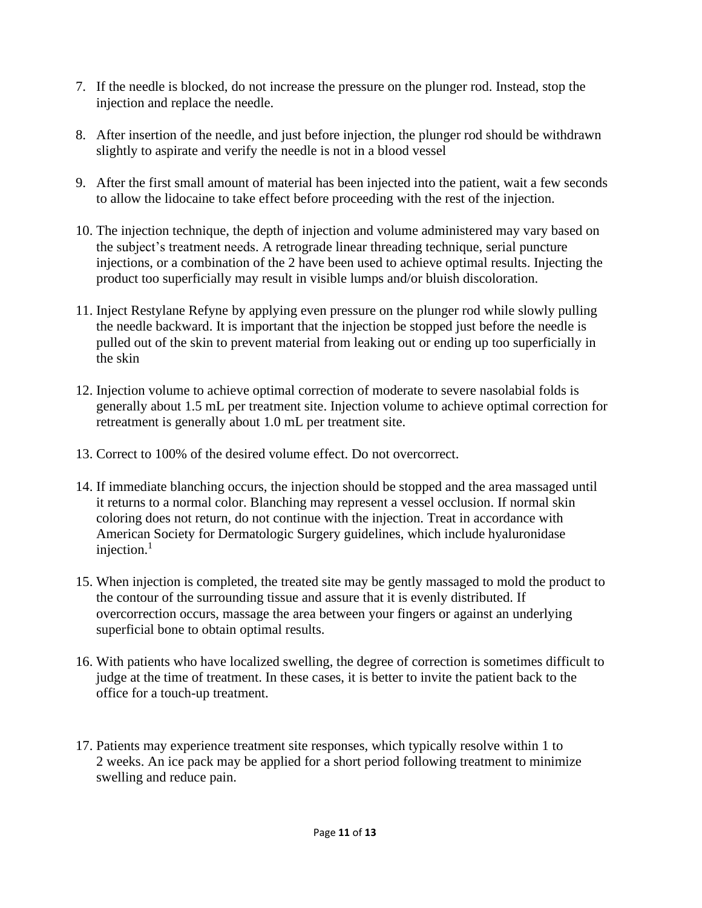- 7. If the needle is blocked, do not increase the pressure on the plunger rod. Instead, stop the injection and replace the needle.
- 8. After insertion of the needle, and just before injection, the plunger rod should be withdrawn slightly to aspirate and verify the needle is not in a blood vessel
- 9. After the first small amount of material has been injected into the patient, wait a few seconds to allow the lidocaine to take effect before proceeding with the rest of the injection.
- 10. The injection technique, the depth of injection and volume administered may vary based on the subject's treatment needs. A retrograde linear threading technique, serial puncture injections, or a combination of the 2 have been used to achieve optimal results. Injecting the product too superficially may result in visible lumps and/or bluish discoloration.
- 11. Inject Restylane Refyne by applying even pressure on the plunger rod while slowly pulling the needle backward. It is important that the injection be stopped just before the needle is pulled out of the skin to prevent material from leaking out or ending up too superficially in the skin
- 12. Injection volume to achieve optimal correction of moderate to severe nasolabial folds is generally about 1.5 mL per treatment site. Injection volume to achieve optimal correction for retreatment is generally about 1.0 mL per treatment site.
- 13. Correct to 100% of the desired volume effect. Do not overcorrect.
- 14. If immediate blanching occurs, the injection should be stopped and the area massaged until it returns to a normal color. Blanching may represent a vessel occlusion. If normal skin coloring does not return, do not continue with the injection. Treat in accordance with American Society for Dermatologic Surgery guidelines, which include hyaluronidase injection.<sup>1</sup>
- 15. When injection is completed, the treated site may be gently massaged to mold the product to the contour of the surrounding tissue and assure that it is evenly distributed. If overcorrection occurs, massage the area between your fingers or against an underlying superficial bone to obtain optimal results.
- 16. With patients who have localized swelling, the degree of correction is sometimes difficult to judge at the time of treatment. In these cases, it is better to invite the patient back to the office for a touch-up treatment.
- 17. Patients may experience treatment site responses, which typically resolve within 1 to 2 weeks. An ice pack may be applied for a short period following treatment to minimize swelling and reduce pain.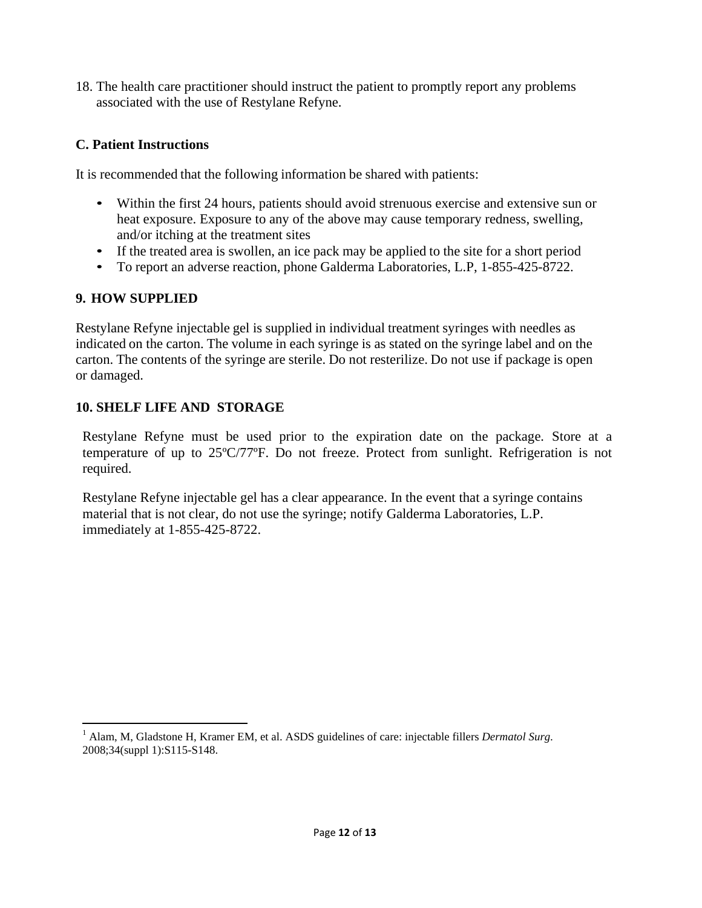18. The health care practitioner should instruct the patient to promptly report any problems associated with the use of Restylane Refyne.

## **C. Patient Instructions**

It is recommended that the following information be shared with patients:

- Within the first 24 hours, patients should avoid strenuous exercise and extensive sun or heat exposure. Exposure to any of the above may cause temporary redness, swelling, and/or itching at the treatment sites
- If the treated area is swollen, an ice pack may be applied to the site for a short period
- To report an adverse reaction, phone Galderma Laboratories, L.P, 1-855-425-8722.

## **9. HOW SUPPLIED**

Restylane Refyne injectable gel is supplied in individual treatment syringes with needles as indicated on the carton. The volume in each syringe is as stated on the syringe label and on the carton. The contents of the syringe are sterile. Do not resterilize. Do not use if package is open or damaged.

## **10. SHELF LIFE AND STORAGE**

Restylane Refyne must be used prior to the expiration date on the package*.* Store at a temperature of up to 25ºC/77ºF. Do not freeze. Protect from sunlight. Refrigeration is not required.

Restylane Refyne injectable gel has a clear appearance. In the event that a syringe contains material that is not clear, do not use the syringe; notify Galderma Laboratories, L.P. immediately at 1-855-425-8722.

<sup>1</sup> Alam, M, Gladstone H, Kramer EM, et al. ASDS guidelines of care: injectable fillers *Dermatol Surg.* 2008;34(suppl 1):S115-S148.